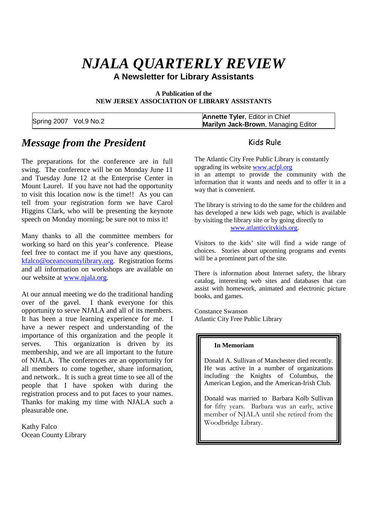# *NJALA QUARTERLY REVIEW*

**A Newsletter for Library Assistants**

**A Publication of the NEW JERSEY ASSOCIATION OF LIBRARY ASSISTANTS**

|                        | <b>Annette Tyler, Editor in Chief</b>      |  |
|------------------------|--------------------------------------------|--|
| Spring 2007 Vol.9 No.2 | <b>Marilyn Jack-Brown, Managing Editor</b> |  |

### *Message from the President*

The preparations for the conference are in full swing. The conference will be on Monday June 11 and Tuesday June 12 at the Enterprise Center in Mount Laurel. If you have not had the opportunity to visit this location now is the time!! As you can tell from your registration form we have Carol Higgins Clark, who will be presenting the keynote speech on Monday morning; be sure not to miss it!

Many thanks to all the committee members for working so hard on this year's conference. Please feel free to contact me if you have any questions, kfalco@oceancountylibrary.org. Registration forms and all information on workshops are available on our website at www.njala.org.

At our annual meeting we do the traditional handing over of the gavel. I thank everyone for this opportunity to serve NJALA and all of its members. It has been a true learning experience for me. I have a newer respect and understanding of the importance of this organization and the people it serves. This organization is driven by its membership, and we are all important to the future of NJALA. The conferences are an opportunity for all members to come together, share information, and network.. It is such a great time to see all of the people that I have spoken with during the registration process and to put faces to your names. Thanks for making my time with NJALA such a pleasurable one.

Kathy Falco Ocean County Library

#### Kids Rule

The Atlantic City Free Public Library is constantly upgrading its website www.acfpl.org

in an attempt to provide the community with the information that it wants and needs and to offer it in a way that is convenient.

The library is striving to do the same for the children and has developed a new kids web page, which is available by visiting the library site or by going directly to www.atlanticcitykids.org.

Visitors to the kids' site will find a wide range of choices. Stories about upcoming programs and events will be a prominent part of the site.

There is information about Internet safety, the library catalog, interesting web sites and databases that can assist with homework, animated and electronic picture books, and games.

Constance Swanson Atlantic City Free Public Library

#### **In Memoriam**

Donald A. Sullivan of Manchester died recently. He was active in a number of organizations including the Knights of Columbus, the American Legion, and the American-Irish Club.

Donald was married to Barbara Kolb Sullivan for fifty years. Barbara was an early, active member of NJALA until she retired from the Woodbridge Library.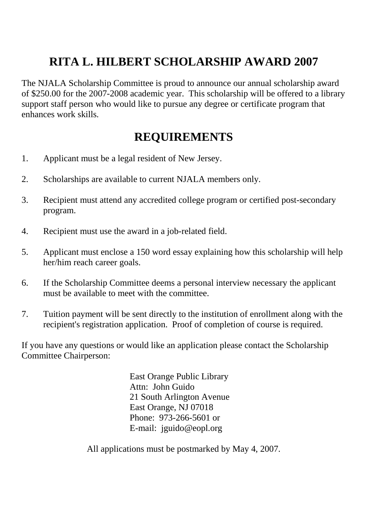# **RITA L. HILBERT SCHOLARSHIP AWARD 2007**

The NJALA Scholarship Committee is proud to announce our annual scholarship award of \$250.00 for the 2007-2008 academic year. This scholarship will be offered to a library support staff person who would like to pursue any degree or certificate program that enhances work skills.

### **REQUIREMENTS**

- 1. Applicant must be a legal resident of New Jersey.
- 2. Scholarships are available to current NJALA members only.
- 3. Recipient must attend any accredited college program or certified post-secondary program.
- 4. Recipient must use the award in a job-related field.
- 5. Applicant must enclose a 150 word essay explaining how this scholarship will help her/him reach career goals.
- 6. If the Scholarship Committee deems a personal interview necessary the applicant must be available to meet with the committee.
- 7. Tuition payment will be sent directly to the institution of enrollment along with the recipient's registration application. Proof of completion of course is required.

If you have any questions or would like an application please contact the Scholarship Committee Chairperson:

> East Orange Public Library Attn: John Guido 21 South Arlington Avenue East Orange, NJ 07018 Phone: 973-266-5601 or E-mail: jguido@eopl.org

All applications must be postmarked by May 4, 2007.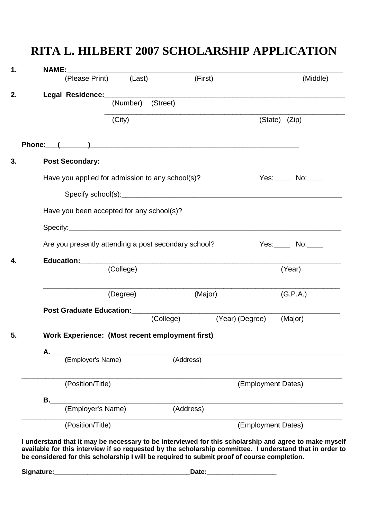|    | <b>NAME:</b>                                    | (Please Print) (Last)                                | (First)                                             |                    | (Middle)      |  |  |
|----|-------------------------------------------------|------------------------------------------------------|-----------------------------------------------------|--------------------|---------------|--|--|
|    |                                                 |                                                      |                                                     |                    |               |  |  |
|    |                                                 | (Number)                                             | (Street)                                            |                    |               |  |  |
|    |                                                 |                                                      |                                                     |                    |               |  |  |
|    |                                                 | (City)                                               |                                                     |                    | (State) (Zip) |  |  |
|    |                                                 |                                                      |                                                     |                    |               |  |  |
| 3. | <b>Post Secondary:</b>                          |                                                      |                                                     |                    |               |  |  |
|    |                                                 | Have you applied for admission to any school(s)?     |                                                     |                    | Yes: No: No:  |  |  |
|    |                                                 |                                                      |                                                     |                    |               |  |  |
|    | Have you been accepted for any school(s)?       |                                                      |                                                     |                    |               |  |  |
|    |                                                 |                                                      |                                                     |                    |               |  |  |
|    |                                                 | Are you presently attending a post secondary school? |                                                     |                    | $Yes.$ No:    |  |  |
| 4. | Education: _________                            |                                                      | <u> 1980 - Andrea Andrews, amerikansk politik (</u> |                    |               |  |  |
|    |                                                 | (College)                                            |                                                     |                    | (Year)        |  |  |
|    |                                                 | (Degree)                                             | (Major)                                             |                    | (G.P.A.)      |  |  |
|    |                                                 | Post Graduate Education: __________                  |                                                     |                    |               |  |  |
|    |                                                 |                                                      | (College)                                           | (Year) (Degree)    | (Major)       |  |  |
| 5. | Work Experience: (Most recent employment first) |                                                      |                                                     |                    |               |  |  |
|    | А.                                              |                                                      |                                                     |                    |               |  |  |
|    |                                                 | (Employer's Name)                                    | (Address)                                           |                    |               |  |  |
|    | (Position/Title)                                |                                                      |                                                     | (Employment Dates) |               |  |  |
|    | В.                                              |                                                      |                                                     |                    |               |  |  |
|    |                                                 | (Employer's Name)                                    | (Address)                                           |                    |               |  |  |
|    | (Position/Title)                                |                                                      |                                                     | (Employment Dates) |               |  |  |

### **RITA L. HILBERT 2007 SCHOLARSHIP APPLICATION**

**Signature:\_\_\_\_\_\_\_\_\_\_\_\_\_\_\_\_\_\_\_\_\_\_\_\_\_\_\_\_\_\_\_\_\_\_\_\_\_Date:\_\_\_\_\_\_\_\_\_\_\_\_\_\_\_\_\_\_\_**

**be considered for this scholarship I will be required to submit proof of course completion.**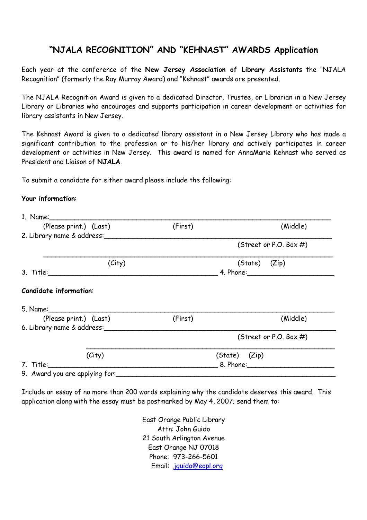### **"NJALA RECOGNITION" AND "KEHNAST" AWARDS Application**

Each year at the conference of the **New Jersey Association of Library Assistants** the "NJALA Recognition" (formerly the Ray Murray Award) and "Kehnast" awards are presented.

The NJALA Recognition Award is given to a dedicated Director, Trustee, or Librarian in a New Jersey Library or Libraries who encourages and supports participation in career development or activities for library assistants in New Jersey.

The Kehnast Award is given to a dedicated library assistant in a New Jersey Library who has made a significant contribution to the profession or to his/her library and actively participates in career development or activities in New Jersey. This award is named for AnnaMarie Kehnast who served as President and Liaison of **NJALA**.

To submit a candidate for either award please include the following:

#### **Your information**:

| (Please print.) (Last)                                                                                                | (First)                                                                                                                                                                                                                        | (Middle)                  |  |  |
|-----------------------------------------------------------------------------------------------------------------------|--------------------------------------------------------------------------------------------------------------------------------------------------------------------------------------------------------------------------------|---------------------------|--|--|
| 2. Library name & address:                                                                                            |                                                                                                                                                                                                                                |                           |  |  |
|                                                                                                                       |                                                                                                                                                                                                                                | (Street or P.O. Box $#$ ) |  |  |
| (City)                                                                                                                |                                                                                                                                                                                                                                | (State) (Zip)             |  |  |
| 3. Title: <u>2000 - 2000 - 2000 - 2000 - 2000 - 2000 - 2000 - 2000 - 2000 - 2000 - 2000 - 2000 - 2000 - 2000 - 20</u> |                                                                                                                                                                                                                                |                           |  |  |
| <b>Candidate information:</b>                                                                                         |                                                                                                                                                                                                                                |                           |  |  |
|                                                                                                                       |                                                                                                                                                                                                                                |                           |  |  |
| (Please print.) (Last)                                                                                                | (First)                                                                                                                                                                                                                        | (Middle)                  |  |  |
| 6. Library name & address:                                                                                            |                                                                                                                                                                                                                                |                           |  |  |
|                                                                                                                       |                                                                                                                                                                                                                                | (Street or P.O. Box $#$ ) |  |  |
| (City)                                                                                                                |                                                                                                                                                                                                                                | (State) (Zip)             |  |  |
| 7. Title: <u>_____________________</u>                                                                                | 8. Phone: Electronic Secretary Secretary Secretary Secretary Secretary Secretary Secretary Secretary Secretary Secretary Secretary Secretary Secretary Secretary Secretary Secretary Secretary Secretary Secretary Secretary S |                           |  |  |
| 9. Award you are applying for:                                                                                        |                                                                                                                                                                                                                                |                           |  |  |

Include an essay of no more than 200 words explaining why the candidate deserves this award. This application along with the essay must be postmarked by May 4, 2007; send them to:

> East Orange Public Library Attn: John Guido 21 South Arlington Avenue East Orange NJ 07018 Phone: 973-266-5601 Email: jguido@eopl.org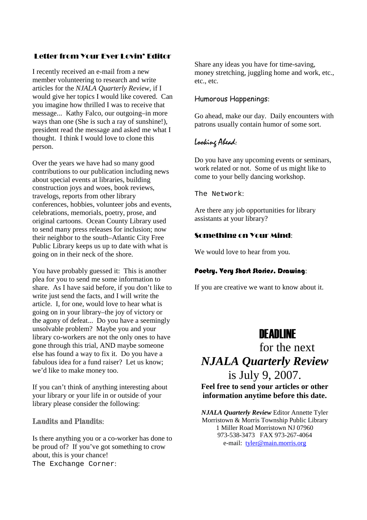#### Letter from Your Ever Lovin' Editor

I recently received an e-mail from a new member volunteering to research and write articles for the *NJALA Quarterly Review*, if I would give her topics I would like covered. Can you imagine how thrilled I was to receive that message... Kathy Falco, our outgoing–in more ways than one (She is such a ray of sunshine!), president read the message and asked me what I thought. I think I would love to clone this person.

Over the years we have had so many good contributions to our publication including news about special events at libraries, building construction joys and woes, book reviews, travelogs, reports from other library conferences, hobbies, volunteer jobs and events, celebrations, memorials, poetry, prose, and original cartoons. Ocean County Library used to send many press releases for inclusion; now their neighbor to the south–Atlantic City Free Public Library keeps us up to date with what is going on in their neck of the shore.

You have probably guessed it: This is another plea for you to send me some information to share. As I have said before, if you don't like to write just send the facts, and I will write the article. I, for one, would love to hear what is going on in your library–the joy of victory or the agony of defeat... Do you have a seemingly unsolvable problem? Maybe you and your library co-workers are not the only ones to have gone through this trial, AND maybe someone else has found a way to fix it. Do you have a fabulous idea for a fund raiser? Let us know; we'd like to make money too.

If you can't think of anything interesting about your library or your life in or outside of your library please consider the following:

Laudits and Plaudits:

Is there anything you or a co-worker has done to be proud of? If you've got something to crow about, this is your chance! The Exchange Corner:

Share any ideas you have for time-saving, money stretching, juggling home and work, etc., etc., etc.

#### Humorous Happenings:

Go ahead, make our day. Daily encounters with patrons usually contain humor of some sort.

#### Looking Ahead:

Do you have any upcoming events or seminars, work related or not. Some of us might like to come to your belly dancing workshop.

The Network:

Are there any job opportunities for library assistants at your library?

#### Something on Your Mind:

We would love to hear from you.

#### Poetry, Very Short Stories, Drawing:

If you are creative we want to know about it.

### DEADLINE

## for the next *NJALA Quarterly Review* is July 9, 2007.

**Feel free to send your articles or other information anytime before this date.** 

 *NJALA Quarterly Review* Editor Annette Tyler Morristown & Morris Township Public Library 1 Miller Road Morristown NJ 07960 973-538-3473 FAX 973-267-4064 e-mail: tyler@main.morris.org